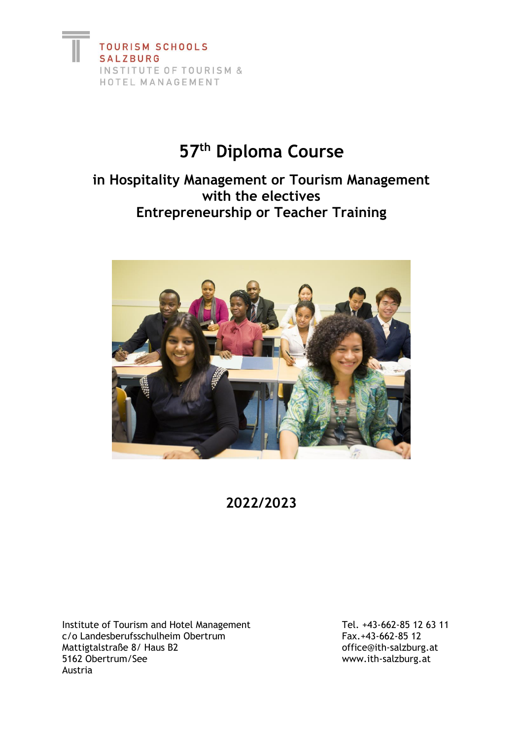

# **57th Diploma Course**

**in Hospitality Management or Tourism Management with the electives Entrepreneurship or Teacher Training**



# **2022/2023**

Institute of Tourism and Hotel Management Tel. +43-662-85 12 63 11 c/o Landesberufsschulheim Obertrum Fax.+43-662-85 12 Mattigtalstraße 8/ Haus B2 office@ith-salzburg.at<br>
5162 Obertrum/See of the salzburg.at www.ith-salzburg.at Austria

[www.ith-salzburg.at](http://www.ith-salzburg.at/)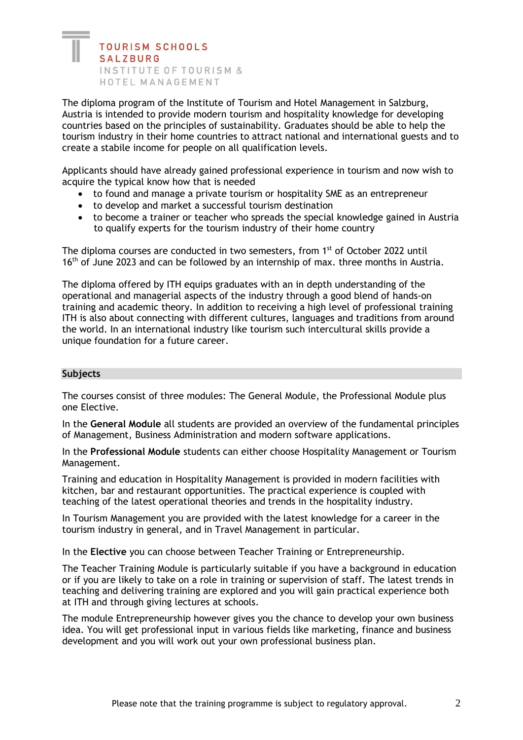The diploma program of the Institute of Tourism and Hotel Management in Salzburg, Austria is intended to provide modern tourism and hospitality knowledge for developing countries based on the principles of sustainability. Graduates should be able to help the tourism industry in their home countries to attract national and international guests and to create a stabile income for people on all qualification levels.

Applicants should have already gained professional experience in tourism and now wish to acquire the typical know how that is needed

- to found and manage a private tourism or hospitality SME as an entrepreneur
- to develop and market a successful tourism destination
- to become a trainer or teacher who spreads the special knowledge gained in Austria to qualify experts for the tourism industry of their home country

The diploma courses are conducted in two semesters, from 1<sup>st</sup> of October 2022 until 16<sup>th</sup> of June 2023 and can be followed by an internship of max. three months in Austria.

The diploma offered by ITH equips graduates with an in depth understanding of the operational and managerial aspects of the industry through a good blend of hands-on training and academic theory. In addition to receiving a high level of professional training ITH is also about connecting with different cultures, languages and traditions from around the world. In an international industry like tourism such intercultural skills provide a unique foundation for a future career.

#### **Subjects**

The courses consist of three modules: The General Module, the Professional Module plus one Elective.

In the **General Module** all students are provided an overview of the fundamental principles of Management, Business Administration and modern software applications.

In the **Professional Module** students can either choose Hospitality Management or Tourism Management.

Training and education in Hospitality Management is provided in modern facilities with kitchen, bar and restaurant opportunities. The practical experience is coupled with teaching of the latest operational theories and trends in the hospitality industry.

In Tourism Management you are provided with the latest knowledge for a career in the tourism industry in general, and in Travel Management in particular.

In the **Elective** you can choose between Teacher Training or Entrepreneurship.

The Teacher Training Module is particularly suitable if you have a background in education or if you are likely to take on a role in training or supervision of staff. The latest trends in teaching and delivering training are explored and you will gain practical experience both at ITH and through giving lectures at schools.

The module Entrepreneurship however gives you the chance to develop your own business idea. You will get professional input in various fields like marketing, finance and business development and you will work out your own professional business plan.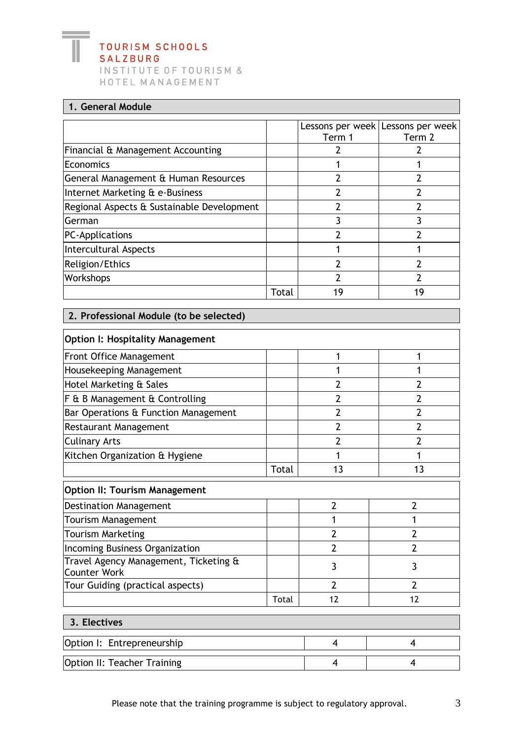## **1. General Module**

|                                            |       | Term 1 | Lessons per week   Lessons per week  <br>Term <sub>2</sub> |
|--------------------------------------------|-------|--------|------------------------------------------------------------|
| Financial & Management Accounting          |       |        |                                                            |
| Economics                                  |       |        |                                                            |
| General Management & Human Resources       |       |        |                                                            |
| Internet Marketing & e-Business            |       |        |                                                            |
| Regional Aspects & Sustainable Development |       |        |                                                            |
| German                                     |       |        |                                                            |
| PC-Applications                            |       |        |                                                            |
| Intercultural Aspects                      |       |        |                                                            |
| <b>Religion/Ethics</b>                     |       |        |                                                            |
| <b>Workshops</b>                           |       |        |                                                            |
|                                            | Total | 19     | 19                                                         |

| 2. Professional Module (to be selected)                      |              |                |                |  |
|--------------------------------------------------------------|--------------|----------------|----------------|--|
| <b>Option I: Hospitality Management</b>                      |              |                |                |  |
| <b>Front Office Management</b>                               |              | 1              | 1              |  |
| Housekeeping Management                                      |              | 1              | 1              |  |
| Hotel Marketing & Sales                                      |              | $\overline{2}$ | $\overline{2}$ |  |
| F & B Management & Controlling                               |              | $\overline{2}$ | $\overline{2}$ |  |
| Bar Operations & Function Management                         |              | $\overline{2}$ | $\overline{2}$ |  |
| <b>Restaurant Management</b>                                 |              | $\overline{2}$ | $\overline{2}$ |  |
| <b>Culinary Arts</b>                                         |              | $\overline{2}$ | $\overline{2}$ |  |
| Kitchen Organization & Hygiene                               |              | 1              | 1              |  |
|                                                              | <b>Total</b> | 13             | 13             |  |
| <b>Option II: Tourism Management</b>                         |              |                |                |  |
| <b>Destination Management</b>                                |              | $\overline{2}$ | 2              |  |
| Tourism Management                                           |              | 1              | 1              |  |
| <b>Tourism Marketing</b>                                     |              | $\overline{2}$ | $\overline{2}$ |  |
| <b>Incoming Business Organization</b>                        |              | $\overline{2}$ | $\overline{2}$ |  |
| Travel Agency Management, Ticketing &<br><b>Counter Work</b> |              | 3              | 3              |  |
| Tour Guiding (practical aspects)                             |              | $\overline{2}$ | $\overline{2}$ |  |
|                                                              | Total        | 12             | 12             |  |
| 3. Electives                                                 |              |                |                |  |
| Option I: Entrepreneurship                                   |              | 4              | 4              |  |
| <b>Option II: Teacher Training</b>                           |              | 4              | 4              |  |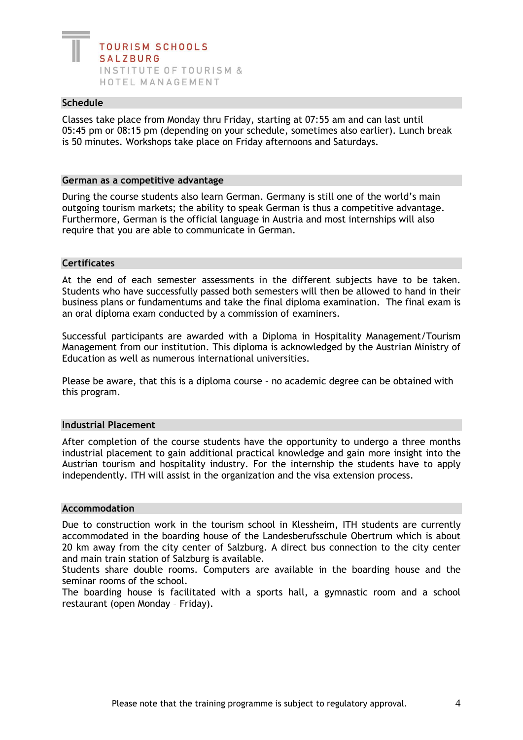#### **Schedule**

Classes take place from Monday thru Friday, starting at 07:55 am and can last until 05:45 pm or 08:15 pm (depending on your schedule, sometimes also earlier). Lunch break is 50 minutes. Workshops take place on Friday afternoons and Saturdays.

#### **German as a competitive advantage**

During the course students also learn German. Germany is still one of the world's main outgoing tourism markets; the ability to speak German is thus a competitive advantage. Furthermore, German is the official language in Austria and most internships will also require that you are able to communicate in German.

#### **Certificates**

At the end of each semester assessments in the different subjects have to be taken. Students who have successfully passed both semesters will then be allowed to hand in their business plans or fundamentums and take the final diploma examination. The final exam is an oral diploma exam conducted by a commission of examiners.

Successful participants are awarded with a Diploma in Hospitality Management/Tourism Management from our institution. This diploma is acknowledged by the Austrian Ministry of Education as well as numerous international universities.

Please be aware, that this is a diploma course – no academic degree can be obtained with this program.

#### **Industrial Placement**

After completion of the course students have the opportunity to undergo a three months industrial placement to gain additional practical knowledge and gain more insight into the Austrian tourism and hospitality industry. For the internship the students have to apply independently. ITH will assist in the organization and the visa extension process.

#### **Accommodation**

Due to construction work in the tourism school in Klessheim, ITH students are currently accommodated in the boarding house of the Landesberufsschule Obertrum which is about 20 km away from the city center of Salzburg. A direct bus connection to the city center and main train station of Salzburg is available.

Students share double rooms. Computers are available in the boarding house and the seminar rooms of the school.

The boarding house is facilitated with a sports hall, a gymnastic room and a school restaurant (open Monday – Friday).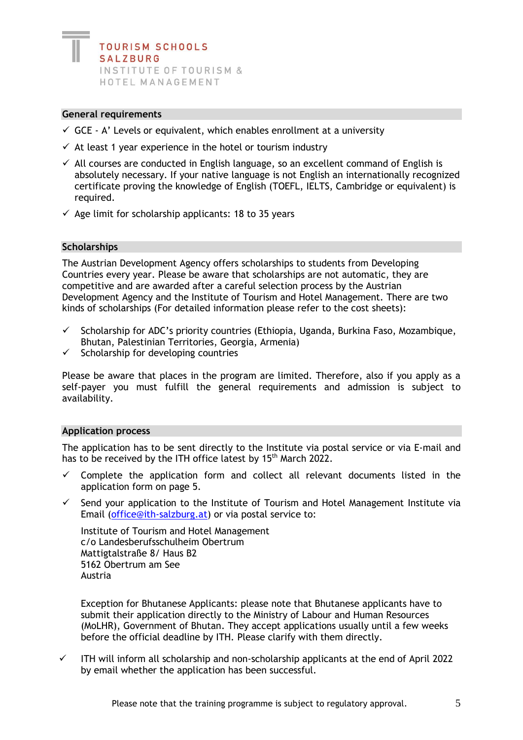#### **General requirements**

- $\checkmark$  GCE A' Levels or equivalent, which enables enrollment at a university
- $\checkmark$  At least 1 year experience in the hotel or tourism industry
- $\checkmark$  All courses are conducted in English language, so an excellent command of English is absolutely necessary. If your native language is not English an internationally recognized certificate proving the knowledge of English (TOEFL, IELTS, Cambridge or equivalent) is required.
- $\checkmark$  Age limit for scholarship applicants: 18 to 35 years

#### **Scholarships**

The Austrian Development Agency offers scholarships to students from Developing Countries every year. Please be aware that scholarships are not automatic, they are competitive and are awarded after a careful selection process by the Austrian Development Agency and the Institute of Tourism and Hotel Management. There are two kinds of scholarships (For detailed information please refer to the cost sheets):

- Scholarship for ADC's priority countries (Ethiopia, Uganda, Burkina Faso, Mozambique, Bhutan, Palestinian Territories, Georgia, Armenia)
- Scholarship for developing countries

Please be aware that places in the program are limited. Therefore, also if you apply as a self-payer you must fulfill the general requirements and admission is subject to availability.

#### **Application process**

The application has to be sent directly to the Institute via postal service or via E-mail and has to be received by the ITH office latest by 15<sup>th</sup> March 2022.

- $\checkmark$  Complete the application form and collect all relevant documents listed in the application form on page 5.
- Send your application to the Institute of Tourism and Hotel Management Institute via Email [\(office@ith-salzburg.at\)](mailto:office@ith-salzburg.at) or via postal service to:

Institute of Tourism and Hotel Management c/o Landesberufsschulheim Obertrum Mattigtalstraße 8/ Haus B2 5162 Obertrum am See Austria

Exception for Bhutanese Applicants: please note that Bhutanese applicants have to submit their application directly to the Ministry of Labour and Human Resources (MoLHR), Government of Bhutan. They accept applications usually until a few weeks before the official deadline by ITH. Please clarify with them directly.

ITH will inform all scholarship and non-scholarship applicants at the end of April 2022 by email whether the application has been successful.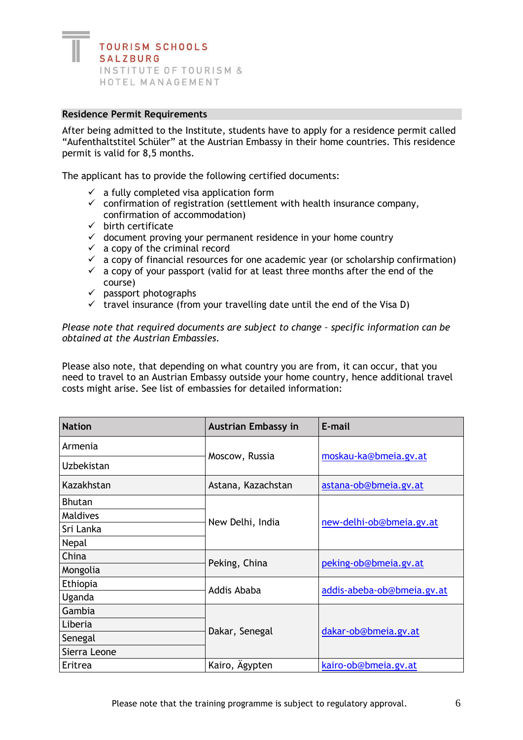#### **Residence Permit Requirements**

After being admitted to the Institute, students have to apply for a residence permit called "Aufenthaltstitel Schüler" at the Austrian Embassy in their home countries. This residence permit is valid for 8,5 months.

The applicant has to provide the following certified documents:

- $\checkmark$  a fully completed visa application form
- $\checkmark$  confirmation of registration (settlement with health insurance company, confirmation of accommodation)
- $\checkmark$  birth certificate
- ✓ document proving your permanent residence in your home country
- $\checkmark$  a copy of the criminal record
- $\checkmark$  a copy of financial resources for one academic year (or scholarship confirmation)
- $\checkmark$  a copy of your passport (valid for at least three months after the end of the course)
- $\checkmark$  passport photographs
- $\checkmark$  travel insurance (from your travelling date until the end of the Visa D)

*Please note that required documents are subject to change – specific information can be obtained at the Austrian Embassies.*

Please also note, that depending on what country you are from, it can occur, that you need to travel to an Austrian Embassy outside your home country, hence additional travel costs might arise. See list of embassies for detailed information:

| <b>Nation</b> | <b>Austrian Embassy in</b> | E-mail                     |  |
|---------------|----------------------------|----------------------------|--|
| Armenia       |                            |                            |  |
| Uzbekistan    | Moscow, Russia             | moskau-ka@bmeia.gv.at      |  |
| Kazakhstan    | Astana, Kazachstan         | astana-ob@bmeia.gv.at      |  |
| <b>Bhutan</b> |                            |                            |  |
| Maldives      |                            | new-delhi-ob@bmeia.gv.at   |  |
| Sri Lanka     | New Delhi, India           |                            |  |
| Nepal         |                            |                            |  |
| China         |                            |                            |  |
| Mongolia      | Peking, China              | peking-ob@bmeia.gv.at      |  |
| Ethiopia      | Addis Ababa                |                            |  |
| Uganda        |                            | addis-abeba-ob@bmeia.gv.at |  |
| Gambia        |                            |                            |  |
| Liberia       |                            | dakar-ob@bmeia.gv.at       |  |
| Senegal       | Dakar, Senegal             |                            |  |
| Sierra Leone  |                            |                            |  |
| Eritrea       | Kairo, Agypten             | kairo-ob@bmeia.gv.at       |  |